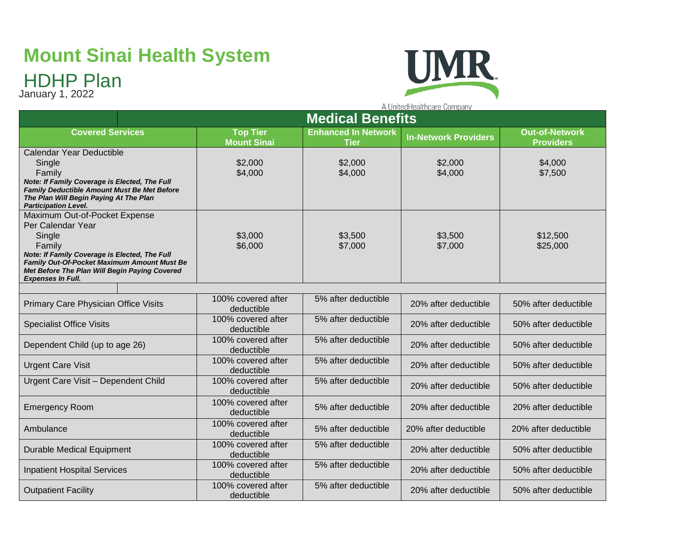# **Mount Sinai Health System**

## HDHP Plan

January 1, 2022



A UnitedHealthcare Company **Medical Benefits Covered Services Top Tier Enhanced In Network Tier In-Network Providers Out-of-Network Mount Sinai Providers** Calendar Year Deductible Single \$2,000 \$2,000 \$2,000 \$4,000 Family \$4,000 \$4,000 \$4,000 \$7,500 *Note: If Family Coverage is Elected, The Full Family Deductible Amount Must Be Met Before The Plan Will Begin Paying At The Plan Participation Level.*  Maximum Out-of-Pocket Expense Per Calendar Year **Single** \$3,000 \$3,500 \$3,500 \$12,500 Family \$6,000 \$7,000 \$7,000 \$25,000 *Note: If Family Coverage is Elected, The Full Family Out-Of-Pocket Maximum Amount Must Be Met Before The Plan Will Begin Paying Covered Expenses In Full.* Primary Care Physician Office Visits 100% covered after 5% after deductible 20% after deductible 50% after deductible deductible Specialist Office Visits 100% covered after 5% after deductible 20% after deductible 50% after deductible deductible Dependent Child (up to age 26) 100% covered after 5% after deductible  $\begin{vmatrix} 20\% & \text{after} \end{vmatrix}$  deductible  $\begin{vmatrix} 50\% & \text{after} \end{vmatrix}$ deductible Urgent Care Visit 100% covered after 5% after deductible  $\begin{vmatrix} 20\% & \text{after} \end{vmatrix}$  deductible  $\begin{vmatrix} 50\% & \text{after} \end{vmatrix}$ deductible Urgent Care Visit – Dependent Child 100% covered after 5% after deductible  $\begin{vmatrix} 20\% & \text{after} \end{vmatrix}$  deductible  $\begin{vmatrix} 50\% & \text{after} \end{vmatrix}$ deductible Emergency Room 100% covered after<br>deductible deductible 5% after deductible 20% after deductible 20% after deductible Ambulance 100% covered after<br>deductible deductible 5% after deductible 20% after deductible 20% after deductible Durable Medical Equipment 100% covered after 5% after deductible  $\begin{vmatrix} 20\% & \text{after} \end{vmatrix}$  deductible  $\begin{vmatrix} 50\% & \text{after} \end{vmatrix}$ deductible Inpatient Hospital Services 100% covered after 5% after deductible  $\begin{vmatrix} 20\% & \text{after} \end{vmatrix}$  deductible  $\begin{vmatrix} 50\% & \text{after} \end{vmatrix}$ deductible Outpatient Facility 100% covered after 5% after deductible 20% after deductible 50% after deductibledeductible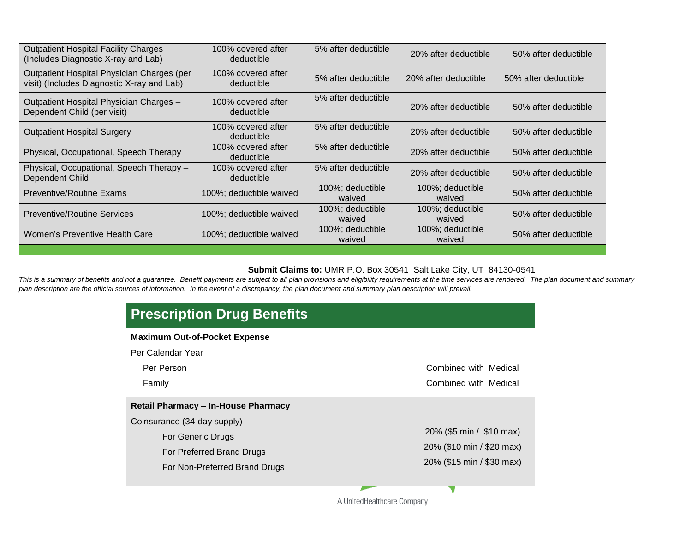| <b>Outpatient Hospital Facility Charges</b><br>(Includes Diagnostic X-ray and Lab)       | 100% covered after<br>deductible | 5% after deductible        | 20% after deductible       | 50% after deductible |
|------------------------------------------------------------------------------------------|----------------------------------|----------------------------|----------------------------|----------------------|
| Outpatient Hospital Physician Charges (per<br>visit) (Includes Diagnostic X-ray and Lab) | 100% covered after<br>deductible | 5% after deductible        | 20% after deductible       | 50% after deductible |
| Outpatient Hospital Physician Charges -<br>Dependent Child (per visit)                   | 100% covered after<br>deductible | 5% after deductible        | 20% after deductible       | 50% after deductible |
| <b>Outpatient Hospital Surgery</b>                                                       | 100% covered after<br>deductible | 5% after deductible        | 20% after deductible       | 50% after deductible |
| Physical, Occupational, Speech Therapy                                                   | 100% covered after<br>deductible | 5% after deductible        | 20% after deductible       | 50% after deductible |
| Physical, Occupational, Speech Therapy -<br>Dependent Child                              | 100% covered after<br>deductible | 5% after deductible        | 20% after deductible       | 50% after deductible |
| <b>Preventive/Routine Exams</b>                                                          | 100%; deductible waived          | 100%; deductible<br>waived | 100%; deductible<br>waived | 50% after deductible |
| <b>Preventive/Routine Services</b>                                                       | 100%; deductible waived          | 100%; deductible<br>waived | 100%; deductible<br>waived | 50% after deductible |
| Women's Preventive Health Care                                                           | 100%; deductible waived          | 100%; deductible<br>waived | 100%; deductible<br>waived | 50% after deductible |

#### **Submit Claims to:** UMR P.O. Box 30541 Salt Lake City, UT 84130-0541

This is a summary of benefits and not a guarantee. Benefit payments are subject to all plan provisions and eligibility requirements at the time services are rendered. The plan document and summary *plan description are the official sources of information. In the event of a discrepancy, the plan document and summary plan description will prevail.* 

| <b>Maximum Out-of-Pocket Expense</b>       |                           |
|--------------------------------------------|---------------------------|
| Per Calendar Year                          |                           |
| Per Person                                 | Combined with Medical     |
| Family                                     | Combined with Medical     |
| <b>Retail Pharmacy - In-House Pharmacy</b> |                           |
| Coinsurance (34-day supply)                |                           |
| <b>For Generic Drugs</b>                   | 20% (\$5 min / \$10 max)  |
| For Preferred Brand Drugs                  | 20% (\$10 min / \$20 max) |
| For Non-Preferred Brand Drugs              | 20% (\$15 min / \$30 max) |

A UnitedHealthcare Company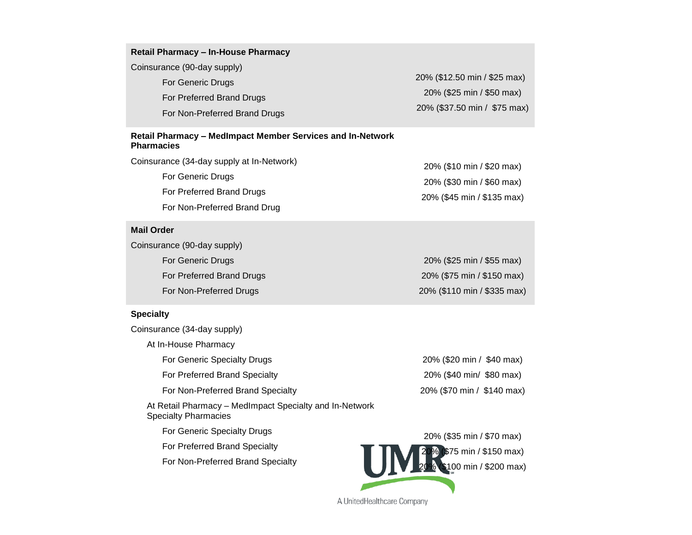| <b>Retail Pharmacy - In-House Pharmacy</b><br>Coinsurance (90-day supply)<br>For Generic Drugs<br>For Preferred Brand Drugs | 20% (\$12.50 min / \$25 max)<br>20% (\$25 min / \$50 max) |
|-----------------------------------------------------------------------------------------------------------------------------|-----------------------------------------------------------|
| For Non-Preferred Brand Drugs                                                                                               | 20% (\$37.50 min / \$75 max)                              |
| Retail Pharmacy - MedImpact Member Services and In-Network                                                                  |                                                           |

## **Pharmacies**

| Coinsurance (34-day supply at In-Network) | 20% (\$10 min / \$20 max)  |
|-------------------------------------------|----------------------------|
| For Generic Drugs                         | 20% (\$30 min / \$60 max)  |
| For Preferred Brand Drugs                 | 20% (\$45 min / \$135 max) |
| For Non-Preferred Brand Drug              |                            |

#### **Mail Order**

Coinsurance (90-day supply) For Generic Drugs For Preferred Brand Drugs For Non-Preferred Drugs 20% (\$25 min / \$55 max) 20% (\$75 min / \$150 max)

#### **Specialty**

Coinsurance (34-day supply)

At In-House Pharmacy

For Generic Specialty Drugs

For Preferred Brand Specialty

For Non-Preferred Brand Specialty

At Retail Pharmacy – MedImpact Specialty and In-Network Specialty Pharmacies

For Generic Specialty Drugs

For Preferred Brand Specialty

For Non-Preferred Brand Specialty

| 20% (\$110 min / \$335 max) |  |  |
|-----------------------------|--|--|
|                             |  |  |

20% (\$20 min / \$40 max) 20% (\$40 min/ \$80 max) 20% (\$70 min / \$140 max)



A UnitedHealthcare Company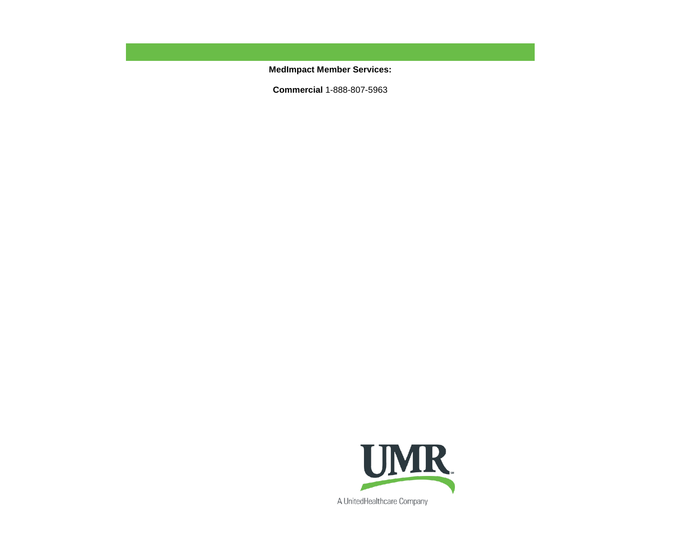**MedImpact Member Services:** 

**Commercial** 1-888-807-5963

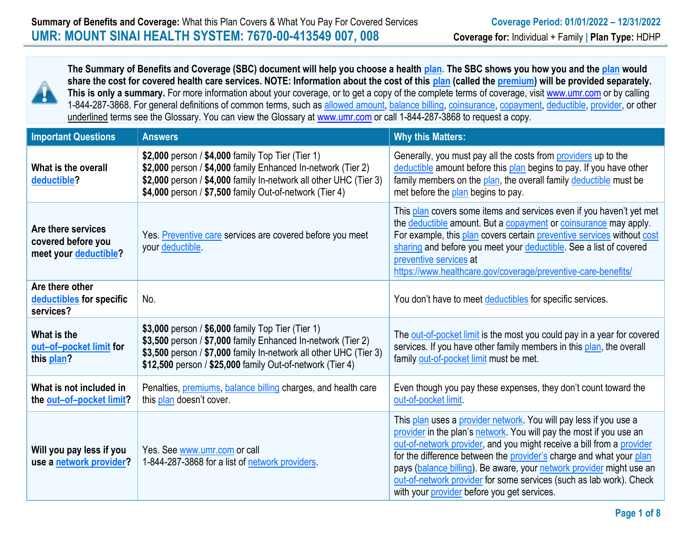

**The Summary of Benefits and Coverage (SBC) document will help you choose a health plan. The SBC shows you how you and the plan would share the cost for covered health care services. NOTE: Information about the cost of this plan (called the premium) will be provided separately.**  This is only a summary. For more information about your coverage, or to get a copy of the complete terms of coverage, visit [www.umr.com](http://www.umr.com/) or by calling 1-844-287-3868. For general definitions of common terms, such as allowed amount, balance billing, coinsurance, copayment, deductible, provider, or other underlined terms see the Glossary. You can view the Glossary at [www.umr.com](http://www.umr.com/) or call 1-844-287-3868 to request a copy.

| <b>Important Questions</b>                                        | <b>Answers</b>                                                                                                                                                                                                                                      | <b>Why this Matters:</b>                                                                                                                                                                                                                                                                                                                                                                                                                                                               |  |
|-------------------------------------------------------------------|-----------------------------------------------------------------------------------------------------------------------------------------------------------------------------------------------------------------------------------------------------|----------------------------------------------------------------------------------------------------------------------------------------------------------------------------------------------------------------------------------------------------------------------------------------------------------------------------------------------------------------------------------------------------------------------------------------------------------------------------------------|--|
| What is the overall<br>deductible?                                | \$2,000 person / \$4,000 family Top Tier (Tier 1)<br>\$2,000 person / \$4,000 family Enhanced In-network (Tier 2)<br>\$2,000 person / \$4,000 family In-network all other UHC (Tier 3)<br>\$4,000 person / \$7,500 family Out-of-network (Tier 4)   | Generally, you must pay all the costs from providers up to the<br>deductible amount before this plan begins to pay. If you have other<br>family members on the plan, the overall family deductible must be<br>met before the plan begins to pay.                                                                                                                                                                                                                                       |  |
| Are there services<br>covered before you<br>meet your deductible? | Yes. Preventive care services are covered before you meet<br>your deductible.                                                                                                                                                                       | This plan covers some items and services even if you haven't yet met<br>the deductible amount. But a copayment or coinsurance may apply.<br>For example, this plan covers certain preventive services without cost<br>sharing and before you meet your deductible. See a list of covered<br>preventive services at<br>https://www.healthcare.gov/coverage/preventive-care-benefits/                                                                                                    |  |
| Are there other<br>deductibles for specific<br>services?          | No.                                                                                                                                                                                                                                                 | You don't have to meet deductibles for specific services.                                                                                                                                                                                                                                                                                                                                                                                                                              |  |
| What is the<br>out-of-pocket limit for<br>this plan?              | \$3,000 person / \$6,000 family Top Tier (Tier 1)<br>\$3,500 person / \$7,000 family Enhanced In-network (Tier 2)<br>\$3,500 person / \$7,000 family In-network all other UHC (Tier 3)<br>\$12,500 person / \$25,000 family Out-of-network (Tier 4) | The out-of-pocket limit is the most you could pay in a year for covered<br>services. If you have other family members in this plan, the overall<br>family out-of-pocket limit must be met.                                                                                                                                                                                                                                                                                             |  |
| What is not included in<br>the out-of-pocket limit?               | Penalties, premiums, balance billing charges, and health care<br>this plan doesn't cover.                                                                                                                                                           | Even though you pay these expenses, they don't count toward the<br>out-of-pocket limit.                                                                                                                                                                                                                                                                                                                                                                                                |  |
| Will you pay less if you<br>use a network provider?               | Yes. See www.umr.com or call<br>1-844-287-3868 for a list of network providers.                                                                                                                                                                     | This plan uses a provider network. You will pay less if you use a<br>provider in the plan's network. You will pay the most if you use an<br>out-of-network provider, and you might receive a bill from a provider<br>for the difference between the provider's charge and what your plan<br>pays (balance billing). Be aware, your network provider might use an<br>out-of-network provider for some services (such as lab work). Check<br>with your provider before you get services. |  |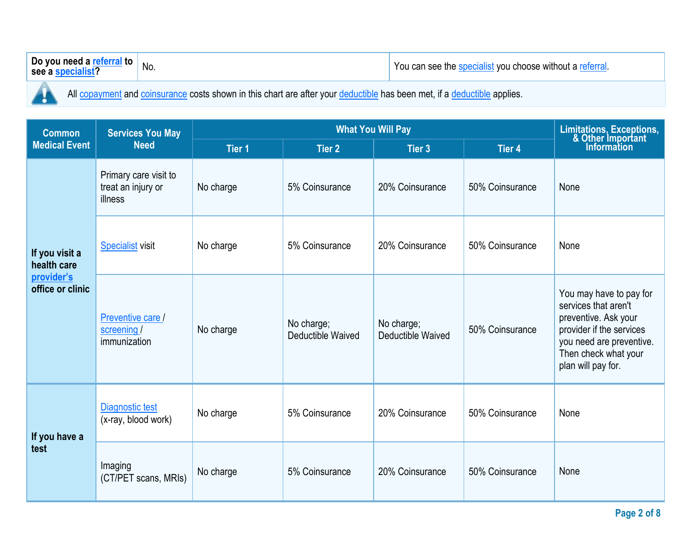| $^{\prime\prime}$ to $^{\prime\prime}$<br><b>Do you</b><br>neec<br>. .<br>see | \ I /<br>IVU. | YOU<br>$\mathcal{U}$<br>me<br><br>$\overline{\phantom{a}}$<br>וור<br>– Witer<br>$\blacksquare$<br>var |
|-------------------------------------------------------------------------------|---------------|-------------------------------------------------------------------------------------------------------|
|                                                                               |               |                                                                                                       |

All copayment and coinsurance costs shown in this chart are after your deductible has been met, if a deductible applies.

Ţ

| <b>Common</b>                  | <b>Services You May</b>                                       |                                 | Limitations, Exceptions,<br>& Other Important<br>Information |                 |                                                                                                                                                                               |      |
|--------------------------------|---------------------------------------------------------------|---------------------------------|--------------------------------------------------------------|-----------------|-------------------------------------------------------------------------------------------------------------------------------------------------------------------------------|------|
| <b>Medical Event</b>           | <b>Need</b>                                                   | Tier 1                          | <b>Tier 2</b>                                                | Tier 3          | Tier 4                                                                                                                                                                        |      |
|                                | Primary care visit to<br>treat an injury or<br>illness        | No charge                       | 5% Coinsurance                                               | 20% Coinsurance | 50% Coinsurance                                                                                                                                                               | None |
| If you visit a<br>health care  | <b>Specialist visit</b>                                       | No charge                       | 5% Coinsurance                                               | 20% Coinsurance | 50% Coinsurance                                                                                                                                                               | None |
| provider's<br>office or clinic | Preventive care /<br>No charge<br>screening /<br>immunization | No charge;<br>Deductible Waived | No charge;<br>Deductible Waived                              | 50% Coinsurance | You may have to pay for<br>services that aren't<br>preventive. Ask your<br>provider if the services<br>you need are preventive.<br>Then check what your<br>plan will pay for. |      |
| If you have a<br>test          | Diagnostic test<br>(x-ray, blood work)                        | No charge                       | 5% Coinsurance                                               | 20% Coinsurance | 50% Coinsurance                                                                                                                                                               | None |
|                                | Imaging<br>(CT/PET scans, MRIs)                               | No charge                       | 5% Coinsurance                                               | 20% Coinsurance | 50% Coinsurance                                                                                                                                                               | None |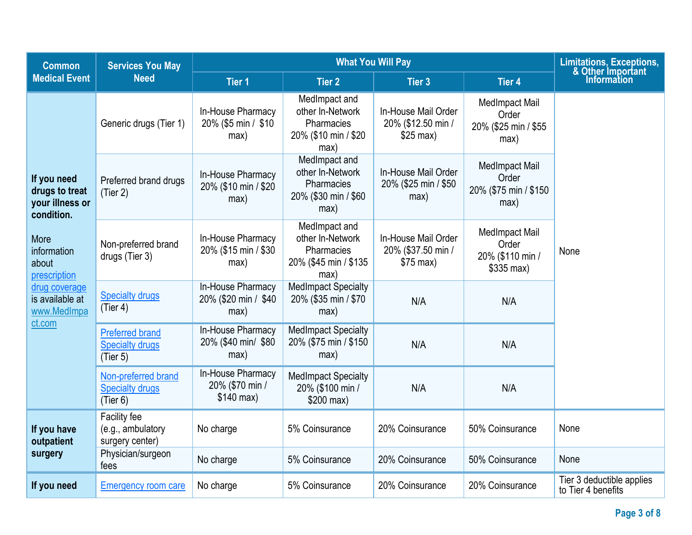| <b>Common</b>                                                                                                                                                               | <b>Services You May</b>                                      |                                                     | <b>Limitations, Exceptions,</b><br>& Other Important                             |                                                         |                                                                 |                                                 |
|-----------------------------------------------------------------------------------------------------------------------------------------------------------------------------|--------------------------------------------------------------|-----------------------------------------------------|----------------------------------------------------------------------------------|---------------------------------------------------------|-----------------------------------------------------------------|-------------------------------------------------|
| <b>Medical Event</b>                                                                                                                                                        | <b>Need</b>                                                  | <b>Tier 1</b>                                       | <b>Tier 2</b>                                                                    | <b>Tier 3</b>                                           | <b>Tier 4</b>                                                   | <b>Information</b>                              |
| If you need<br>drugs to treat<br>your illness or<br>condition.<br>More<br>information<br>about<br>prescription<br>drug coverage<br>is available at<br>www.MedImpa<br>ct.com | Generic drugs (Tier 1)                                       | In-House Pharmacy<br>20% (\$5 min / \$10<br>max)    | MedImpact and<br>other In-Network<br>Pharmacies<br>20% (\$10 min / \$20<br>max)  | In-House Mail Order<br>20% (\$12.50 min /<br>$$25$ max) | <b>MedImpact Mail</b><br>Order<br>20% (\$25 min / \$55<br>max)  |                                                 |
|                                                                                                                                                                             | Preferred brand drugs<br>(Tier 2)                            | In-House Pharmacy<br>20% (\$10 min / \$20<br>max)   | MedImpact and<br>other In-Network<br>Pharmacies<br>20% (\$30 min / \$60<br>max)  | In-House Mail Order<br>20% (\$25 min / \$50<br>max)     | <b>MedImpact Mail</b><br>Order<br>20% (\$75 min / \$150<br>max) |                                                 |
|                                                                                                                                                                             | Non-preferred brand<br>drugs (Tier 3)                        | In-House Pharmacy<br>20% (\$15 min / \$30<br>max)   | MedImpact and<br>other In-Network<br>Pharmacies<br>20% (\$45 min / \$135<br>max) | In-House Mail Order<br>20% (\$37.50 min /<br>$$75$ max) | MedImpact Mail<br>Order<br>20% (\$110 min /<br>$$335$ max)      | None                                            |
|                                                                                                                                                                             | <b>Specialty drugs</b><br>(Tier 4)                           | In-House Pharmacy<br>20% (\$20 min / \$40<br>max)   | <b>MedImpact Specialty</b><br>20% (\$35 min / \$70<br>max)                       | N/A                                                     | N/A                                                             |                                                 |
|                                                                                                                                                                             | <b>Preferred brand</b><br><b>Specialty drugs</b><br>(Tier 5) | In-House Pharmacy<br>20% (\$40 min/ \$80<br>max)    | <b>MedImpact Specialty</b><br>20% (\$75 min / \$150<br>max)                      | N/A                                                     | N/A                                                             |                                                 |
|                                                                                                                                                                             | Non-preferred brand<br><b>Specialty drugs</b><br>(Tier 6)    | In-House Pharmacy<br>20% (\$70 min /<br>$$140$ max) | <b>MedImpact Specialty</b><br>20% (\$100 min /<br>$$200$ max)                    | N/A                                                     | N/A                                                             |                                                 |
| If you have<br>outpatient                                                                                                                                                   | Facility fee<br>(e.g., ambulatory<br>surgery center)         | No charge                                           | 5% Coinsurance                                                                   | 20% Coinsurance                                         | 50% Coinsurance                                                 | None                                            |
| surgery                                                                                                                                                                     | Physician/surgeon<br>fees                                    | No charge                                           | 5% Coinsurance                                                                   | 20% Coinsurance                                         | 50% Coinsurance                                                 | None                                            |
| If you need                                                                                                                                                                 | <b>Emergency room care</b>                                   | No charge                                           | 5% Coinsurance                                                                   | 20% Coinsurance                                         | 20% Coinsurance                                                 | Tier 3 deductible applies<br>to Tier 4 benefits |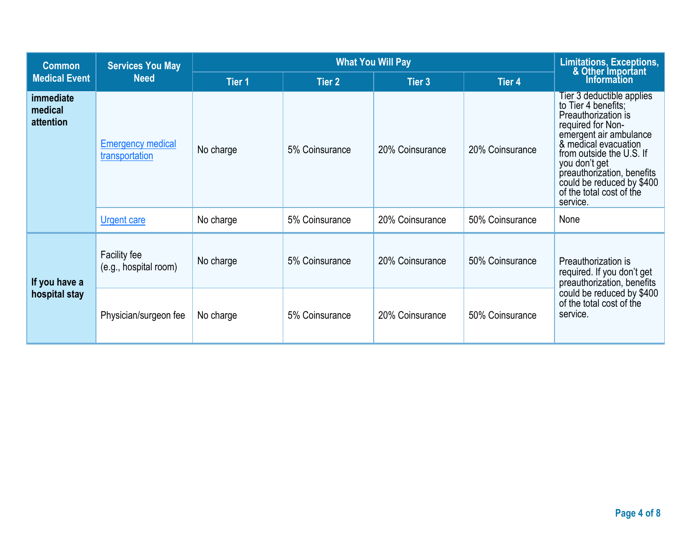| <b>Common</b>                            | <b>Services You May</b>                    |               | Limitations, Exceptions,<br>& Other Important<br>Information |                 |                 |                                                                                                                                                                                                                                                                                                |
|------------------------------------------|--------------------------------------------|---------------|--------------------------------------------------------------|-----------------|-----------------|------------------------------------------------------------------------------------------------------------------------------------------------------------------------------------------------------------------------------------------------------------------------------------------------|
| <b>Medical Event</b>                     | <b>Need</b>                                | <b>Tier 1</b> | Tier 2                                                       | Tier 3          | <b>Tier 4</b>   |                                                                                                                                                                                                                                                                                                |
| <i>immediate</i><br>medical<br>attention | <b>Emergency medical</b><br>transportation | No charge     | 5% Coinsurance                                               | 20% Coinsurance | 20% Coinsurance | Tier 3 deductible applies<br>to Tier 4 benefits;<br>Preauthorization is<br>required for Non-<br>emergent air ambulance<br>& medical evacuation<br>from outside the U.S. If<br>you don't get<br>preauthorization, benefits<br>could be reduced by \$400<br>of the total cost of the<br>service. |
|                                          | <b>Urgent care</b>                         | No charge     | 5% Coinsurance                                               | 20% Coinsurance | 50% Coinsurance | None                                                                                                                                                                                                                                                                                           |
| If you have a<br>hospital stay           | Facility fee<br>(e.g., hospital room)      | No charge     | 5% Coinsurance                                               | 20% Coinsurance | 50% Coinsurance | Preauthorization is<br>required. If you don't get<br>preauthorization, benefits<br>could be reduced by \$400<br>of the total cost of the<br>service.                                                                                                                                           |
|                                          | Physician/surgeon fee                      | No charge     | 5% Coinsurance                                               | 20% Coinsurance | 50% Coinsurance |                                                                                                                                                                                                                                                                                                |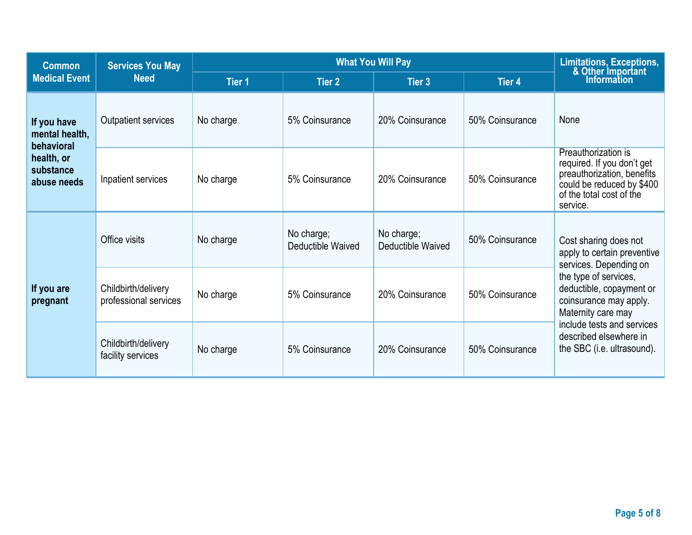| <b>Common</b>                                                                         | <b>Services You May</b>                      |               | Limitations, Exceptions,<br>& Other Important<br>Information |                                 |                 |                                                                                                                                                                                                                                                                           |
|---------------------------------------------------------------------------------------|----------------------------------------------|---------------|--------------------------------------------------------------|---------------------------------|-----------------|---------------------------------------------------------------------------------------------------------------------------------------------------------------------------------------------------------------------------------------------------------------------------|
| <b>Medical Event</b>                                                                  | <b>Need</b>                                  | <b>Tier 1</b> | Tier 2                                                       | Tier 3                          | <b>Tier 4</b>   |                                                                                                                                                                                                                                                                           |
| If you have<br>mental health,<br>behavioral<br>health, or<br>substance<br>abuse needs | Outpatient services                          | No charge     | 5% Coinsurance                                               | 20% Coinsurance                 | 50% Coinsurance | None                                                                                                                                                                                                                                                                      |
|                                                                                       | Inpatient services                           | No charge     | 5% Coinsurance                                               | 20% Coinsurance                 | 50% Coinsurance | Preauthorization is<br>required. If you don't get<br>preauthorization, benefits<br>could be reduced by \$400<br>of the total cost of the<br>service.                                                                                                                      |
| If you are<br>pregnant                                                                | Office visits                                | No charge     | No charge;<br>Deductible Waived                              | No charge;<br>Deductible Waived | 50% Coinsurance | Cost sharing does not<br>apply to certain preventive<br>services. Depending on<br>the type of services,<br>deductible, copayment or<br>coinsurance may apply.<br>Maternity care may<br>include tests and services<br>described elsewhere in<br>the SBC (i.e. ultrasound). |
|                                                                                       | Childbirth/delivery<br>professional services | No charge     | 5% Coinsurance                                               | 20% Coinsurance                 | 50% Coinsurance |                                                                                                                                                                                                                                                                           |
|                                                                                       | Childbirth/delivery<br>facility services     | No charge     | 5% Coinsurance                                               | 20% Coinsurance                 | 50% Coinsurance |                                                                                                                                                                                                                                                                           |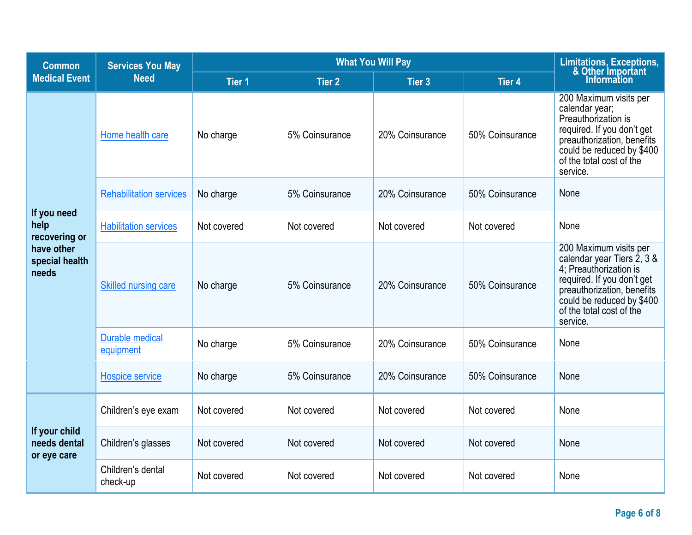| <b>Common</b>                                | <b>Services You May</b>             |               | Limitations, Exceptions,<br>& Other Important<br>Information |                 |                 |                                                                                                                                                                                                                 |
|----------------------------------------------|-------------------------------------|---------------|--------------------------------------------------------------|-----------------|-----------------|-----------------------------------------------------------------------------------------------------------------------------------------------------------------------------------------------------------------|
| <b>Medical Event</b>                         | <b>Need</b>                         | <b>Tier 1</b> | <b>Tier 2</b>                                                | <b>Tier 3</b>   | Tier 4          |                                                                                                                                                                                                                 |
|                                              | Home health care                    | No charge     | 5% Coinsurance                                               | 20% Coinsurance | 50% Coinsurance | 200 Maximum visits per<br>calendar year;<br>Preauthorization is<br>required. If you don't get<br>preauthorization, benefits<br>could be reduced by \$400<br>of the total cost of the<br>service.                |
|                                              | <b>Rehabilitation services</b>      | No charge     | 5% Coinsurance                                               | 20% Coinsurance | 50% Coinsurance | None                                                                                                                                                                                                            |
| If you need<br>help<br>recovering or         | <b>Habilitation services</b>        | Not covered   | Not covered                                                  | Not covered     | Not covered     | None                                                                                                                                                                                                            |
| have other<br>special health<br>needs        | <b>Skilled nursing care</b>         | No charge     | 5% Coinsurance                                               | 20% Coinsurance | 50% Coinsurance | 200 Maximum visits per<br>calendar year Tiers 2, 3 &<br>4; Preauthorization is<br>required. If you don't get<br>preauthorization, benefits<br>could be reduced by \$400<br>of the total cost of the<br>service. |
|                                              | <b>Durable medical</b><br>equipment | No charge     | 5% Coinsurance                                               | 20% Coinsurance | 50% Coinsurance | None                                                                                                                                                                                                            |
|                                              | <b>Hospice service</b>              | No charge     | 5% Coinsurance                                               | 20% Coinsurance | 50% Coinsurance | None                                                                                                                                                                                                            |
|                                              | Children's eye exam                 | Not covered   | Not covered                                                  | Not covered     | Not covered     | None                                                                                                                                                                                                            |
| If your child<br>needs dental<br>or eye care | Children's glasses                  | Not covered   | Not covered                                                  | Not covered     | Not covered     | None                                                                                                                                                                                                            |
|                                              | Children's dental<br>check-up       | Not covered   | Not covered                                                  | Not covered     | Not covered     | None                                                                                                                                                                                                            |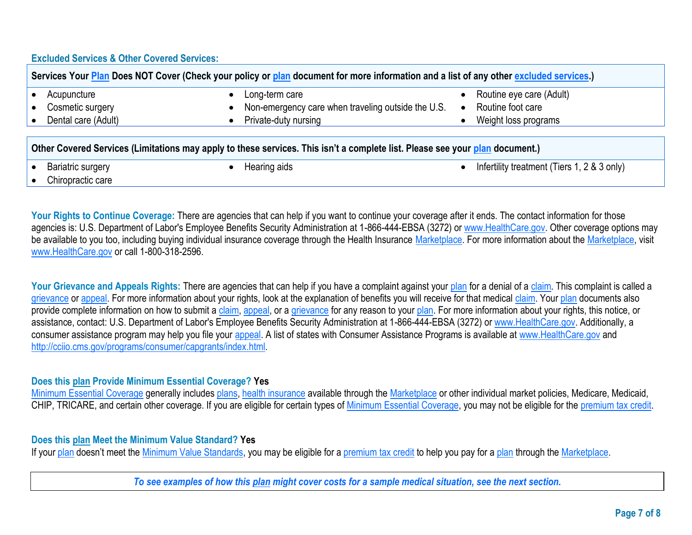## **Excluded Services & Other Covered Services:**

| Services Your Plan Does NOT Cover (Check your policy or plan document for more information and a list of any other excluded services.) |                                                    |                          |  |  |
|----------------------------------------------------------------------------------------------------------------------------------------|----------------------------------------------------|--------------------------|--|--|
| Acupuncture                                                                                                                            | Long-term care                                     | Routine eye care (Adult) |  |  |
| Cosmetic surgery                                                                                                                       | Non-emergency care when traveling outside the U.S. | Routine foot care        |  |  |
| Dental care (Adult)                                                                                                                    | Private-duty nursing                               | Weight loss programs     |  |  |
|                                                                                                                                        |                                                    |                          |  |  |
| Other Covered Services (Limitations may apply to these services. This isn't a complete list. Please see your plan document.)           |                                                    |                          |  |  |

Chiropractic care

Bariatric surgery **Example 2 Hearing aids Infertility treatment (Tiers 1, 2 & 3 only)** 

Your Rights to Continue Coverage: There are agencies that can help if you want to continue your coverage after it ends. The contact information for those agencies is: U.S. Department of Labor's Employee Benefits Security Administration at 1-866-444-EBSA (3272) or [www.HealthCare.gov.](http://www.healthcare.gov/) Other coverage options may be available to you too, including buying individual insurance coverage through the Health Insurance Marketplace. For more information about the Marketplace, visit [www.HealthCare.gov](http://www.healthcare.gov/) or call 1-800-318-2596.

Your Grievance and Appeals Rights: There are agencies that can help if you have a complaint against your plan for a denial of a claim. This complaint is called a grievance or appeal. For more information about your rights, look at the explanation of benefits you will receive for that medical claim. Your plan documents also provide complete information on how to submit a claim, appeal, or a grievance for any reason to your plan. For more information about your rights, this notice, or assistance, contact: U.S. Department of Labor's Employee Benefits Security Administration at 1-866-444-EBSA (3272) o[r www.HealthCare.gov.](http://www.healthcare.gov/) Additionally, a consumer assistance program may help you file your appeal. A list of states with Consumer Assistance Programs is available at [www.HealthCare.gov](http://www.healthcare.gov/) and [http://cciio.cms.gov/programs/consumer/capgrants/index.html.](http://cciio.cms.gov/programs/consumer/capgrants/index.html)

## **Does this plan Provide Minimum Essential Coverage? Yes**

Minimum Essential Coverage generally includes plans, health insurance available through the Marketplace or other individual market policies, Medicare, Medicaid, CHIP, TRICARE, and certain other coverage. If you are eligible for certain types of Minimum Essential Coverage, you may not be eligible for the premium tax credit.

## **Does this plan Meet the Minimum Value Standard? Yes**

If your plan doesn't meet the Minimum Value Standards, you may be eligible for a premium tax credit to help you pay for a plan through the Marketplace.

*To see examples of how this plan might cover costs for a sample medical situation, see the next section.*